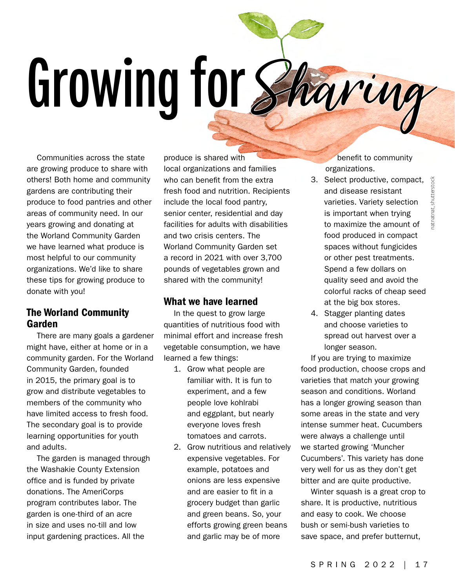## **Growing for** Sharing

Communities across the state are growing produce to share with others! Both home and community gardens are contributing their produce to food pantries and other areas of community need. In our years growing and donating at the Worland Community Garden we have learned what produce is most helpful to our community organizations. We'd like to share these tips for growing produce to donate with you!

## The Worland Community Garden

There are many goals a gardener might have, either at home or in a community garden. For the Worland Community Garden, founded in 2015, the primary goal is to grow and distribute vegetables to members of the community who have limited access to fresh food. The secondary goal is to provide learning opportunities for youth and adults.

The garden is managed through the Washakie County Extension office and is funded by private donations. The AmeriCorps program contributes labor. The garden is one-third of an acre in size and uses no-till and low input gardening practices. All the

produce is shared with local organizations and families who can benefit from the extra fresh food and nutrition. Recipients include the local food pantry, senior center, residential and day facilities for adults with disabilities and two crisis centers. The Worland Community Garden set a record in 2021 with over 3,700 pounds of vegetables grown and shared with the community!

## What we have learned

In the quest to grow large quantities of nutritious food with minimal effort and increase fresh vegetable consumption, we have learned a few things:

- 1. Grow what people are familiar with. It is fun to experiment, and a few people love kohlrabi and eggplant, but nearly everyone loves fresh tomatoes and carrots.
- 2. Grow nutritious and relatively expensive vegetables. For example, potatoes and onions are less expensive and are easier to fit in a grocery budget than garlic and green beans. So, your efforts growing green beans and garlic may be of more

benefit to community organizations.

- 3. Select productive, compact, and disease resistant varieties. Variety selection is important when trying to maximize the amount of food produced in compact spaces without fungicides or other pest treatments. Spend a few dollars on quality seed and avoid the colorful racks of cheap seed at the big box stores.
- 4. Stagger planting dates and choose varieties to spread out harvest over a longer season.

If you are trying to maximize food production, choose crops and varieties that match your growing season and conditions. Worland has a longer growing season than some areas in the state and very intense summer heat. Cucumbers were always a challenge until we started growing 'Muncher Cucumbers'. This variety has done very well for us as they don't get bitter and are quite productive.

Winter squash is a great crop to share. It is productive, nutritious and easy to cook. We choose bush or semi-bush varieties to save space, and prefer butternut,